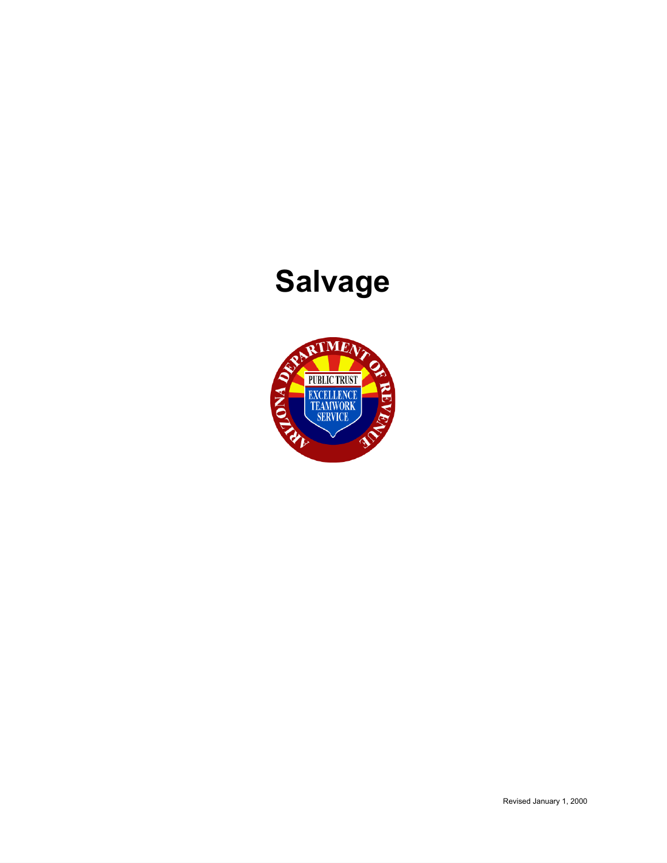# **Salvage**

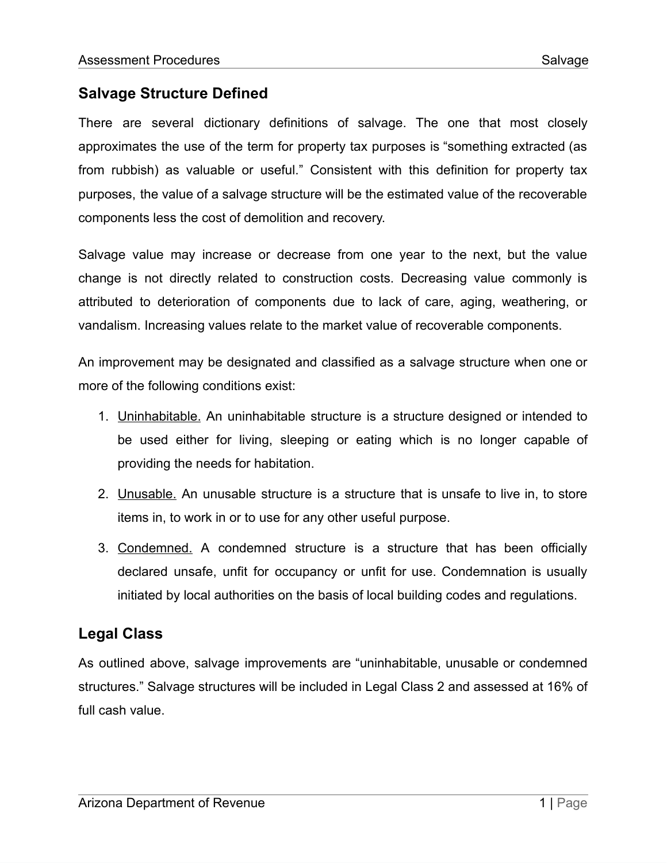## **Salvage Structure Defined**

There are several dictionary definitions of salvage. The one that most closely approximates the use of the term for property tax purposes is "something extracted (as from rubbish) as valuable or useful." Consistent with this definition for property tax purposes, the value of a salvage structure will be the estimated value of the recoverable components less the cost of demolition and recovery.

Salvage value may increase or decrease from one year to the next, but the value change is not directly related to construction costs. Decreasing value commonly is attributed to deterioration of components due to lack of care, aging, weathering, or vandalism. Increasing values relate to the market value of recoverable components.

An improvement may be designated and classified as a salvage structure when one or more of the following conditions exist:

- 1. Uninhabitable. An uninhabitable structure is a structure designed or intended to be used either for living, sleeping or eating which is no longer capable of providing the needs for habitation.
- 2. Unusable. An unusable structure is a structure that is unsafe to live in, to store items in, to work in or to use for any other useful purpose.
- 3. Condemned. A condemned structure is a structure that has been officially declared unsafe, unfit for occupancy or unfit for use. Condemnation is usually initiated by local authorities on the basis of local building codes and regulations.

## **Legal Class**

As outlined above, salvage improvements are "uninhabitable, unusable or condemned structures." Salvage structures will be included in Legal Class 2 and assessed at 16% of full cash value.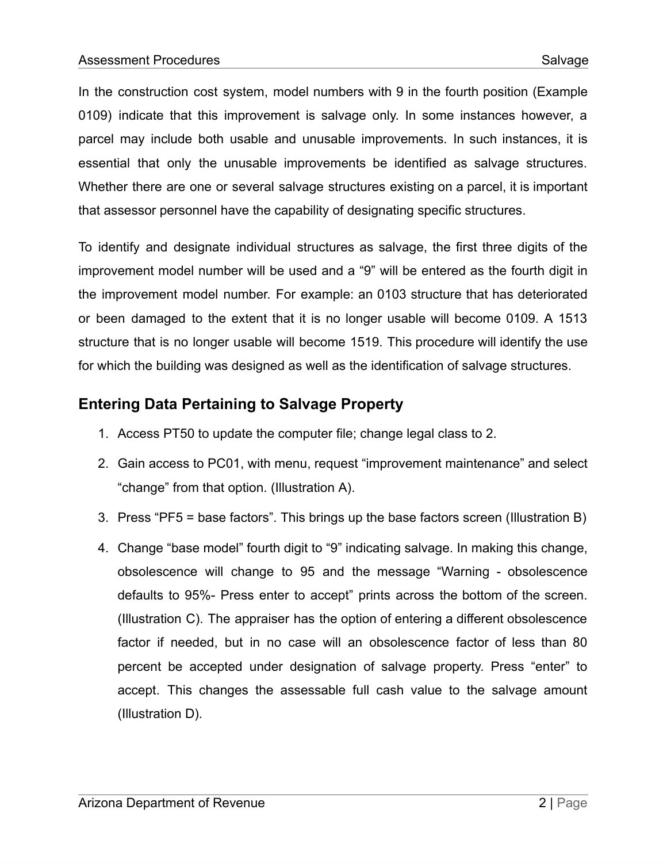In the construction cost system, model numbers with 9 in the fourth position (Example 0109) indicate that this improvement is salvage only. In some instances however, a parcel may include both usable and unusable improvements. In such instances, it is essential that only the unusable improvements be identified as salvage structures. Whether there are one or several salvage structures existing on a parcel, it is important that assessor personnel have the capability of designating specific structures.

To identify and designate individual structures as salvage, the first three digits of the improvement model number will be used and a "9" will be entered as the fourth digit in the improvement model number. For example: an 0103 structure that has deteriorated or been damaged to the extent that it is no longer usable will become 0109. A 1513 structure that is no longer usable will become 1519. This procedure will identify the use for which the building was designed as well as the identification of salvage structures.

# **Entering Data Pertaining to Salvage Property**

- 1. Access PT50 to update the computer file; change legal class to 2.
- 2. Gain access to PC01, with menu, request "improvement maintenance" and select "change" from that option. (Illustration A).
- 3. Press "PF5 = base factors". This brings up the base factors screen (Illustration B)
- 4. Change "base model" fourth digit to "9" indicating salvage. In making this change, obsolescence will change to 95 and the message "Warning - obsolescence defaults to 95%- Press enter to accept" prints across the bottom of the screen. (Illustration C). The appraiser has the option of entering a different obsolescence factor if needed, but in no case will an obsolescence factor of less than 80 percent be accepted under designation of salvage property. Press "enter" to accept. This changes the assessable full cash value to the salvage amount (Illustration D).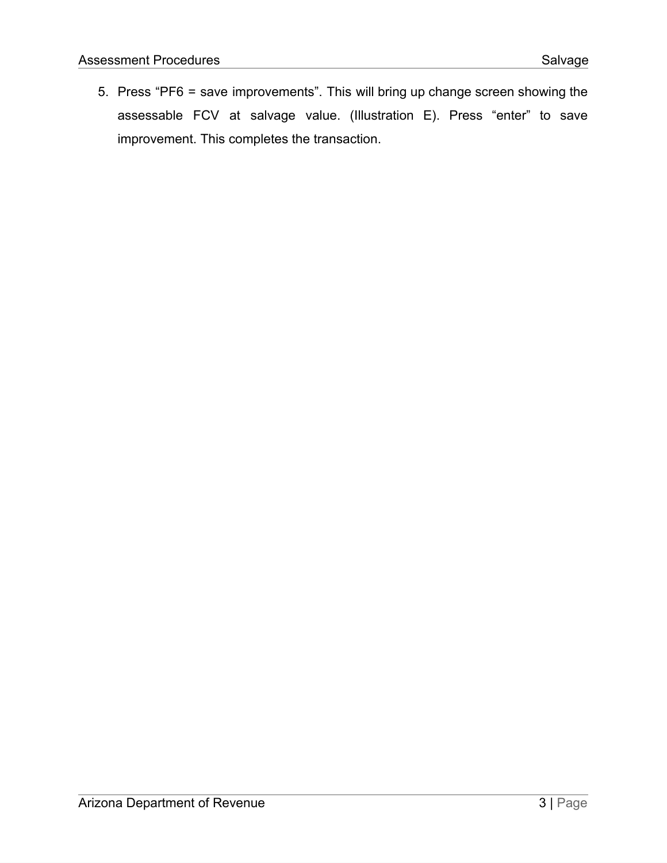5. Press "PF6 = save improvements". This will bring up change screen showing the assessable FCV at salvage value. (Illustration E). Press "enter" to save improvement. This completes the transaction.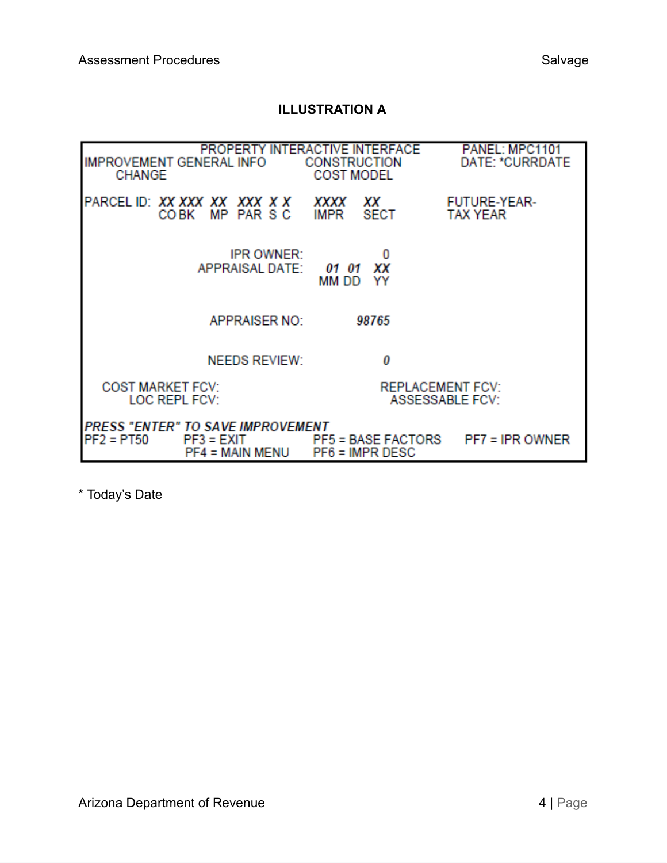#### **ILLUSTRATION A**

| <b>IMPROVEMENT GENERAL INFO</b><br><b>CHANGE</b> |                                                                                    | PROPERTY INTERACTIVE INTERFACE<br>CONSTRUCTION<br><b>COST MODEL</b> | PANEL: MPC1101<br>DATE: *CURRDATE |  |
|--------------------------------------------------|------------------------------------------------------------------------------------|---------------------------------------------------------------------|-----------------------------------|--|
|                                                  | PARCELID: <i>XX XXX XX XXX X X</i><br>COBK MP PARSC                                | XXXX<br>ХX<br><b>SECT</b><br>IMPR                                   | FUTURE-YEAR-<br><b>TAX YEAR</b>   |  |
|                                                  | <b>IPR OWNER:</b><br><b>APPRAISAL DATE:</b>                                        | xх<br>01 01<br>mm dd<br>YY                                          |                                   |  |
|                                                  | <b>APPRAISER NO:</b>                                                               | 98765                                                               |                                   |  |
|                                                  | <b>NEEDS REVIEW:</b>                                                               | 0                                                                   |                                   |  |
| <b>COST MARKET FCV:</b><br>LOC REPL FCV:         |                                                                                    | <b>REPLACEMENT FCV:</b><br><b>ASSESSABLE FCV:</b>                   |                                   |  |
| $PF2 = PT50$                                     | <b>PRESS "ENTER" TO SAVE IMPROVEMENT</b><br>$PF3 = EXIT$<br><b>PF4 = MAIN MENU</b> | <b>PF5 = BASE FACTORS</b><br>$PFG = IMPR DEC$                       | $PF7 = IPR$ OWNER                 |  |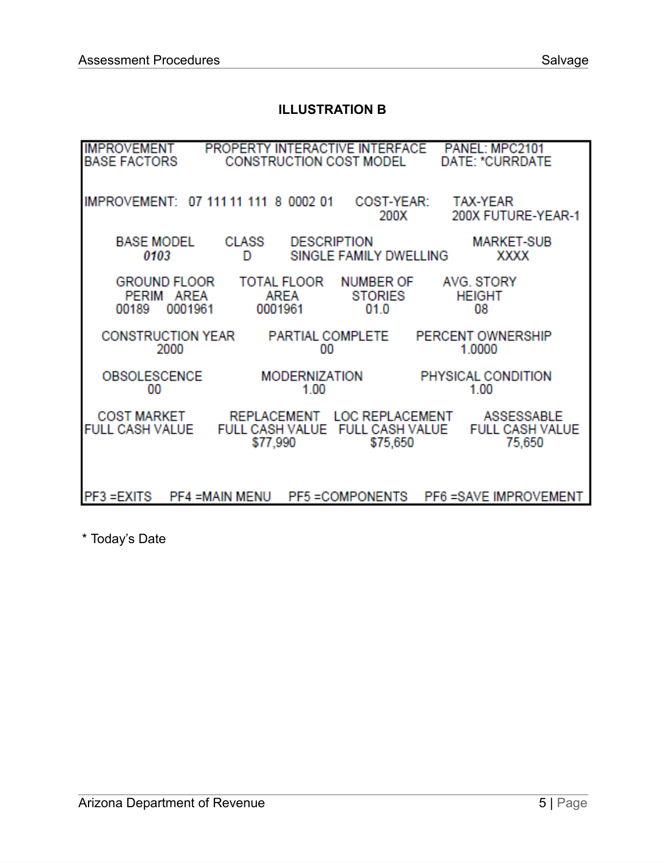#### **ILLUSTRATION B**

| <b>IMPROVEMENT</b><br><b>BASE FACTORS</b>       | PROPERTY INTERACTIVE INTERFACE PANEL: MPC2101<br>CONSTRUCTION COST MODEL |                                              | DATE: *CURRDATE                                                |
|-------------------------------------------------|--------------------------------------------------------------------------|----------------------------------------------|----------------------------------------------------------------|
| IMPROVEMENT: 07 111 11 111 8 0002 01            |                                                                          | 200X                                         | COST-YEAR: TAX-YEAR<br>200X FUTURE-YEAR-1                      |
| <b>BASE MODEL</b><br>0103                       | <b>CLASS</b><br>D                                                        | <b>DESCRIPTION</b><br>SINGLE FAMILY DWELLING | <b>MARKET-SUB</b><br><b>XXXX</b>                               |
| GROUND FLOOR<br>PERIM AREA<br>0001961<br>00189  | TOTAL FLOOR<br>AREA<br>0001961                                           | NUMBER OF<br><b>STORIES</b><br>01.0          | AVG. STORY<br><b>HEIGHT</b><br>08                              |
| CONSTRUCTION YEAR<br>2000                       | 00                                                                       | PARTIAL COMPLETE                             | PERCENT OWNERSHIP<br>1.0000                                    |
| OBSOLESCENCE<br>00                              | 1.00                                                                     | <b>MODERNIZATION</b>                         | PHYSICAL CONDITION<br>1.00                                     |
| FULL CASH VALUE FULL CASH VALUE FULL CASH VALUE | COST MARKET REPLACEMENT<br>\$77,990                                      | \$75,650                                     | LOC REPLACEMENT ASSESSABLE<br><b>FULL CASH VALUE</b><br>75,650 |
| PF3 = EXITS                                     | <b>PF4 =MAIN MENU</b>                                                    | <b>PF5 = COMPONENTS</b>                      | <b>PF6 = SAVE IMPROVEMENT</b>                                  |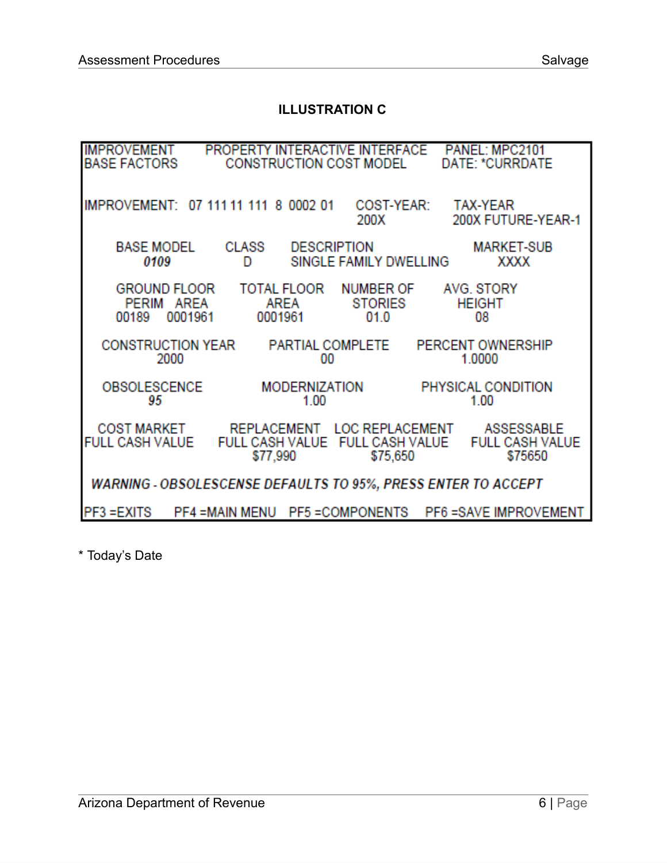#### **ILLUSTRATION C**

| <b>IMPROVEMENT</b><br><b>BASE FACTORS</b>  |                                                               | PROPERTY INTERACTIVE INTERFACE<br><b>CONSTRUCTION COST MODEL</b> |                                             | PANEL: MPC2101<br>DATE: *CURRDATE                                           |
|--------------------------------------------|---------------------------------------------------------------|------------------------------------------------------------------|---------------------------------------------|-----------------------------------------------------------------------------|
|                                            | IMPROVEMENT: 07 111 11 111 8 0002 01                          | 200X                                                             | COST-YEAR:                                  | <b>TAX-YEAR</b><br>200X FUTURE-YEAR-1                                       |
| <b>BASE MODEL</b><br>0109                  | <b>CLASS</b><br>D                                             | <b>DESCRIPTION</b><br>SINGLE FAMILY DWELLING                     |                                             | <b>MARKET-SUB</b><br><b>XXXX</b>                                            |
| <b>GROUND FLOOR</b><br>PERIM AREA<br>00189 | 0001961<br>0001961                                            | TOTAL FLOOR NUMBER OF<br>AREA                                    | STORIES<br>01.0                             | AVG. STORY<br><b>HEIGHT</b><br>08                                           |
| 2000                                       | CONSTRUCTION YEAR PARTIAL COMPLETE                            | 00                                                               |                                             | PERCENT OWNERSHIP<br>1.0000                                                 |
| <b>OBSOLESCENCE</b><br>95                  |                                                               | <b>MODERNIZATION</b><br>1.00                                     |                                             | PHYSICAL CONDITION<br>1.00                                                  |
| COST MARKET<br>FULL CASH VALUE             | \$77,990                                                      |                                                                  | FULL CASH VALUE FULL CASH VALUE<br>\$75,650 | REPLACEMENT LOC REPLACEMENT ASSESSABLE<br><b>FULL CASH VALUE</b><br>\$75650 |
|                                            | WARNING - OBSOLESCENSE DEFAULTS TO 95%, PRESS ENTER TO ACCEPT |                                                                  |                                             |                                                                             |
| PF3 = EXITS                                | <b>PF4 =MAIN MENU</b>                                         | PF5 = COMPONENTS                                                 |                                             | <b>PF6 = SAVE IMPROVEMENT</b>                                               |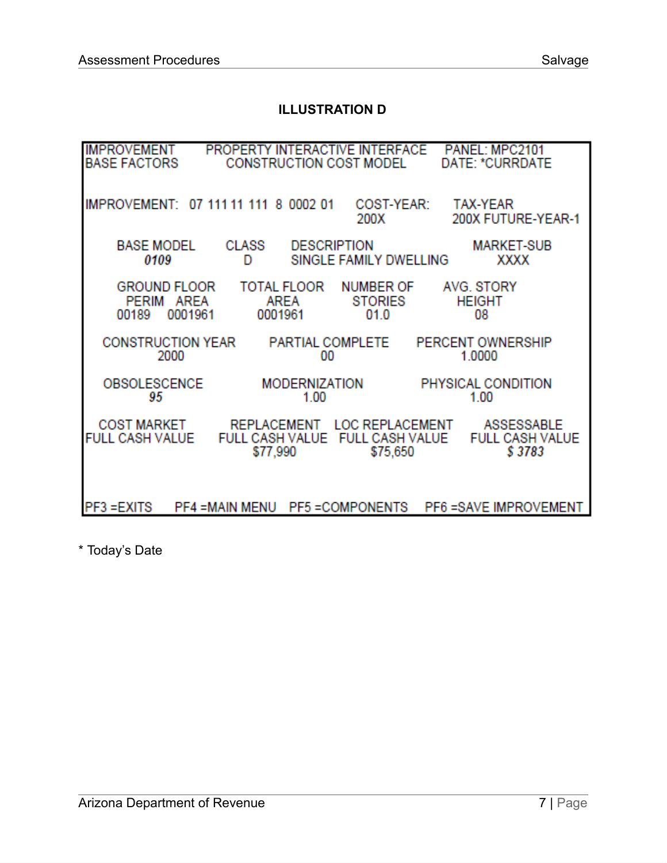#### **ILLUSTRATION D**

| <b>IMPROVEMENT</b><br><b>BASE FACTORS</b> |                                      | PROPERTY INTERACTIVE INTERFACE<br><b>CONSTRUCTION COST MODEL</b>           |                                            | PANEL: MPC2101<br>DATE: *CURRDATE              |
|-------------------------------------------|--------------------------------------|----------------------------------------------------------------------------|--------------------------------------------|------------------------------------------------|
|                                           | IMPROVEMENT: 07 111 11 111 8 0002 01 |                                                                            | COST-YEAR:<br>200X                         | <b>TAX-YEAR</b><br>200X FUTURE-YEAR-1          |
| <b>BASE MODEL</b><br>0109                 | <b>CLASS</b><br>D                    | <b>DESCRIPTION</b>                                                         | SINGLE FAMILY DWELLING                     | <b>MARKET-SUB</b><br><b>XXXX</b>               |
| <b>GROUND FLOOR</b><br>PERIM<br>00189     | AREA<br>0001961                      | TOTAL FLOOR<br>AREA<br>0001961                                             | <b>NUMBER OF</b><br><b>STORIES</b><br>01.0 | AVG. STORY<br><b>HEIGHT</b><br>08              |
|                                           | <b>CONSTRUCTION YEAR</b><br>2000     | PARTIAL COMPLETE<br>00                                                     |                                            | PERCENT OWNERSHIP<br>1.0000                    |
| <b>OBSOLESCENCE</b><br>95                 |                                      | MODERNIZATION<br>1.00                                                      |                                            | PHYSICAL CONDITION<br>1.00                     |
| COST MARKET<br><b>FULL CASH VALUE</b>     |                                      | REPLACEMENT LOC REPLACEMENT<br>FULL CASH VALUE FULL CASH VALUE<br>\$77,990 | \$75,650                                   | ASSESSABLE<br><b>FULL CASH VALUE</b><br>\$3783 |
| PF3 = EXITS                               | <b>PF4 =MAIN MENU</b>                | <b>PF5 = COMPONENTS</b>                                                    |                                            | PF6 = SAVE IMPROVEMENT                         |